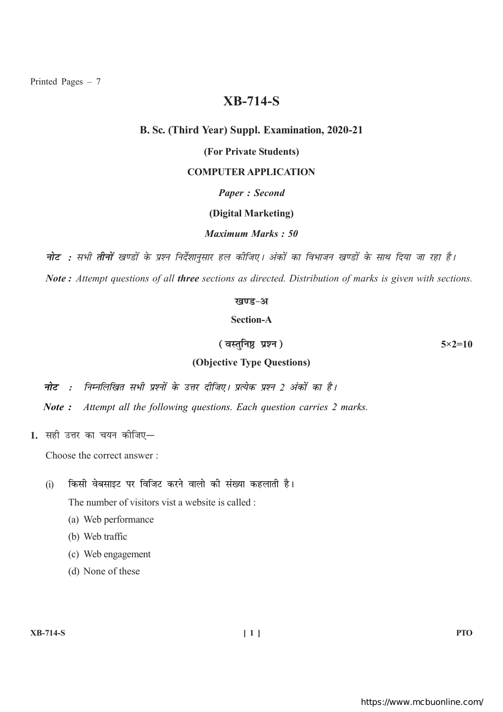Printed Pages  $-7$ 

# **XB-714-S**

#### B. Sc. (Third Year) Suppl. Examination, 2020-21

# (For Private Students)

# **COMPUTER APPLICATION**

# **Paper: Second**

#### (Digital Marketing)

# **Maximum Marks: 50**

**नोट :** सभी **तीनों** खण्डों के प्रश्न निर्देशानसार हल कीजिए। अंकों का विभाजन खण्डों के साथ दिया जा रहा है। Note: Attempt questions of all three sections as directed. Distribution of marks is given with sections.

#### खण्ड-अ

# **Section-A**

(वस्तनिष्ठ प्रश्न)

 $5 \times 2 = 10$ 

# (Objective Type Questions)

- नोट : निम्नलिखित सभी प्रश्नों के उत्तर दीजिए। प्रत्येक प्रश्न 2 अंकों का है।
- Note: Attempt all the following questions. Each question carries 2 marks.
- 1. सही उत्तर का चयन कोजिए-

Choose the correct answer:

किसी वेबसाइट पर विजिट करने वालो की संख्या कहलाती है।  $(i)$ 

The number of visitors vist a website is called :

- (a) Web performance
- (b) Web traffic
- (c) Web engagement
- (d) None of these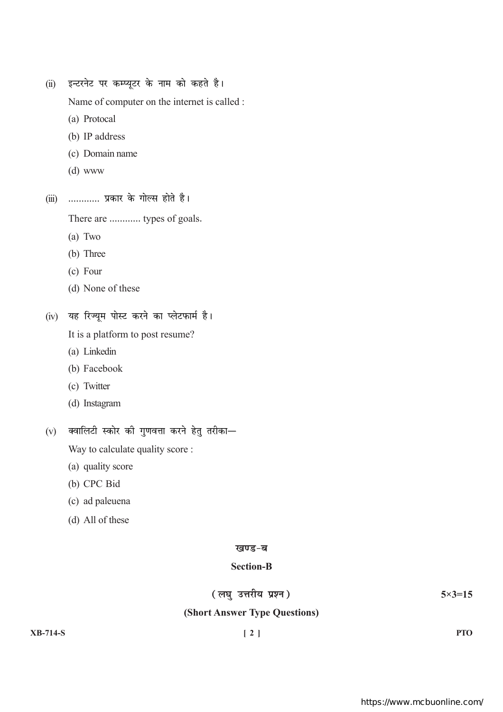(ii) इन्टरनेट पर कम्प्यूटर के नाम को कहते है।

Name of computer on the internet is called :

- (a) Protocal
- (b) IP address
- (c) Domain name
- $(d)$  www
- (iii) ............ प्रकार के गोल्स होते है।

There are ............ types of goals.

- $(a)$  Two
- (b) Three
- $(c)$  Four
- (d) None of these

(iv) यह रिज्यूम पोस्ट करने का प्लेटफार्म है।

It is a platform to post resume?

- (a) Linkedin
- (b) Facebook
- (c) Twitter
- (d) Instagram

 $(v)$  क्वालिटी स्कोर की गुणवत्ता करने हेतु तरीका—

Way to calculate quality score :

- (a) quality score
- (b) CPC Bid
- (c) ad paleuena
- (d) All of these

#### खण्ड-ब

# **Section-B**

(लघु उत्तरीय प्रश्न)

 $5 \times 3 = 15$ 

# (Short Answer Type Questions)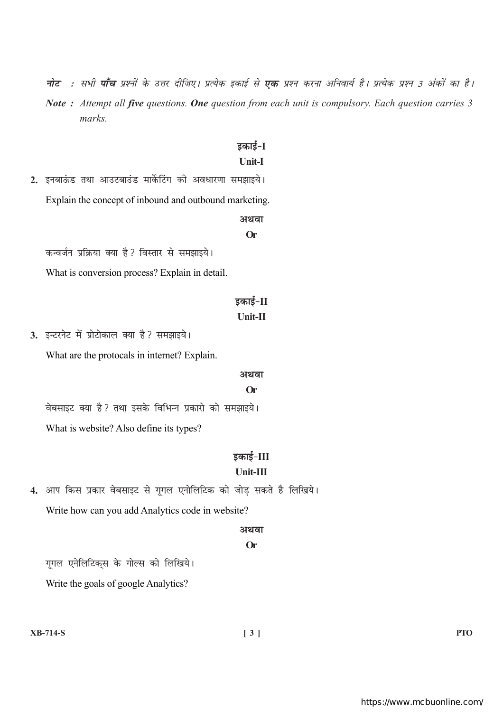- **नोट :** सभी **पाँच** प्रश्नों के उत्तर दीजिए। प्रत्येक इकाई से **एक** प्रश्न करना अनिवार्य है। प्रत्येक प्रश्न 3 अंकों का है।
- Note: Attempt all five questions. One question from each unit is compulsory. Each question carries 3 marks.

# डकाई-I

# Unit-I

2. इनबाऊंड तथा आउटबाउंड मार्केटिंग की अवधारणा समझाइये। Explain the concept of inbound and outbound marketing.

# अथवा  $Or$

कन्वर्जन प्रक्रिया क्या है? विस्तार से समझाइये। What is conversion process? Explain in detail.

# डकाई-II

#### Unit-II

3. इन्टरनेट में प्रोटोकाल क्या है? समझाइये। What are the protocals in internet? Explain.

#### अथवा

#### **Or**

वेबसाइट क्या है ? तथा इसके विभिन्न प्रकारो को समझाइये। What is website? Also define its types?

# इकाई-III

# Unit-III

4. आप किस प्रकार वेबसाइट से गूगल एनोलिटिक को जोड़ सकते है लिखिये। Write how can you add Analytics code in website?

#### अथवा

# $Or$

गूगल एनेलिटिक्स के गोल्स को लिखिये।

Write the goals of google Analytics?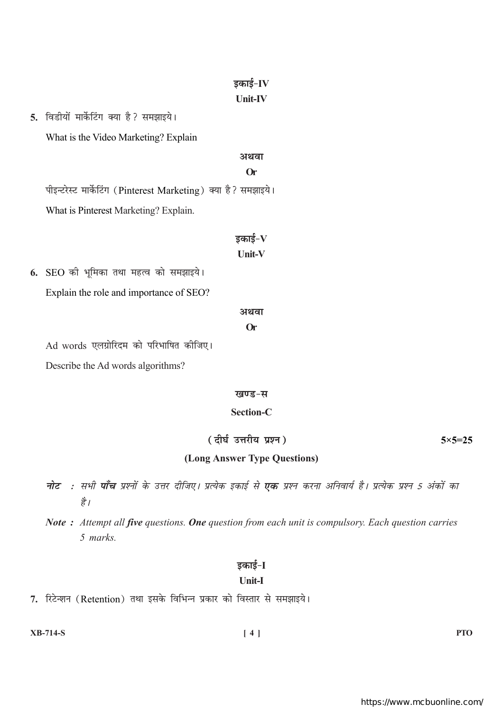# डकाई- $IV$ **Unit-IV**

5. विडीयों मार्केटिंग क्या है ? समझाइये।

What is the Video Marketing? Explain

#### अथवा

#### $Or$

पीइन्टरेस्ट मार्केटिंग (Pinterest Marketing) क्या है? समझाइये। What is Pinterest Marketing? Explain.

# डकाई– ${\bf V}$

#### Unit-V

6. SEO की भूमिका तथा महत्व को समझाइये। Explain the role and importance of SEO?

#### अथवा

# $Or$

Ad words एलग्रोरिदम को परिभाषित कीजिए।

Describe the Ad words algorithms?

#### खण्ड-स

# **Section-C**

(दीर्घ उत्तरीय प्रश्न)

 $5 \times 5 = 25$ 

# (Long Answer Type Questions)

- **नोट** : सभी **पाँच** प्रश्नों के उत्तर दीजिए। प्रत्येक इकाई से **एक** प्रश्न करना अनिवार्य है। प्रत्येक प्रश्न 5 अंकों का है।
- Note: Attempt all five questions. One question from each unit is compulsory. Each question carries 5 marks.

# इकाई-I

# **Unit-I**

7. रिटेन्शन (Retention) तथा इसके विभिन्न प्रकार को विस्तार से समझाइये।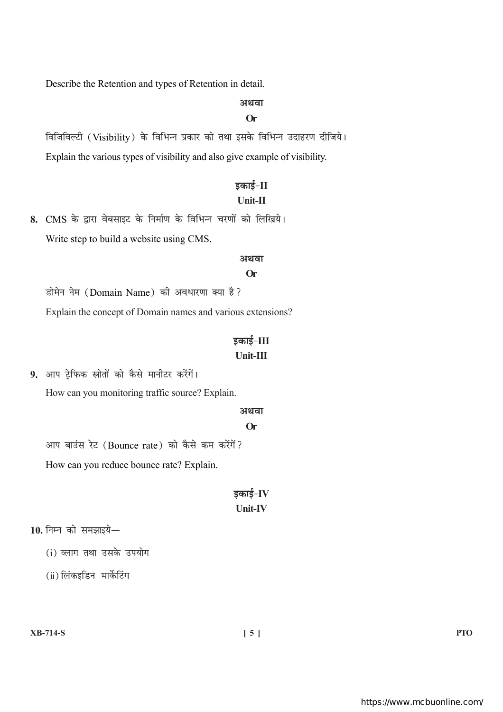Describe the Retention and types of Retention in detail.

# अथवा

#### $Or$

विजिविल्टी (Visibility) के विभिन्न प्रकार को तथा इसके विभिन्न उदाहरण दीजिये। Explain the various types of visibility and also give example of visibility.

# डकाई-II

# $Unit-II$

8. CMS के द्वारा वेबसाइट के निर्माण के विभिन्न चरणों को लिखिये। Write step to build a website using CMS.

#### अथवा

#### $Or$

डोमेन नेम (Domain Name) की अवधारणा क्या है? Explain the concept of Domain names and various extensions?

# डकाई-III Unit-III

9. आप टे़फिक स्रोतों को कैसे मानीटर करेंगें।

How can you monitoring traffic source? Explain.

#### अथवा

#### **Or**

आप बाउंस रेट (Bounce rate) को कैसे कम करेंगें?

How can you reduce bounce rate? Explain.

# इकाई-IV Unit-IV

 $10.$  निम्न को समझाइये $-$ 

(i) व्लाग तथा उसके उपयोग

 $(ii)$  लिंकइडिन मार्केटिंग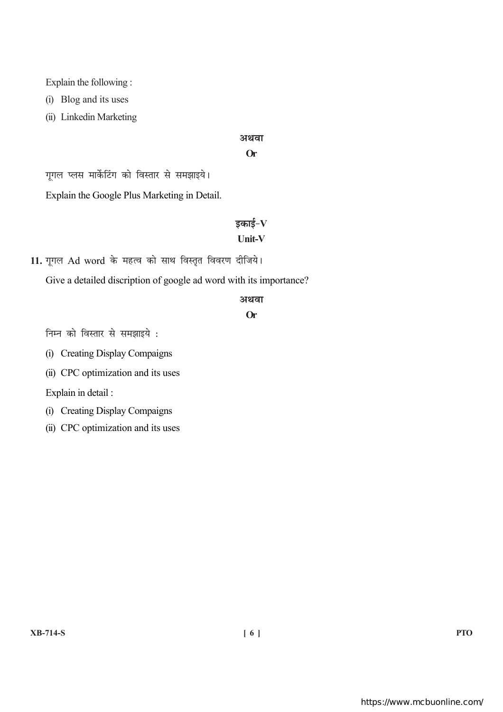Explain the following:

(i) Blog and its uses

(ii) Linkedin Marketing

#### अथवा

#### $Or$

गूगल प्लस मार्केटिंग को विस्तार से समझाइये।

Explain the Google Plus Marketing in Detail.

# डकाई– ${\bf V}$

# **Unit-V**

11. गूगल Ad word के महत्व को साथ विस्तृत विवरण दीजिये।

Give a detailed discription of google ad word with its importance?

#### अथवा

#### **Or**

निम्न को विस्तार से समझाइये :

(i) Creating Display Compaigns

(ii) CPC optimization and its uses

Explain in detail:

(i) Creating Display Compaigns

(ii) CPC optimization and its uses